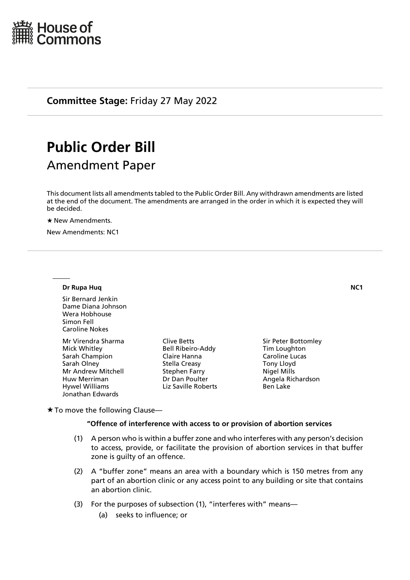

**Committee Stage:** Friday 27 May 2022

# **Public Order Bill**

# Amendment Paper

This document lists all amendments tabled to the Public Order Bill. Any withdrawn amendments are listed at the end of the document. The amendments are arranged in the order in which it is expected they will be decided.

★ New Amendments.

New Amendments: NC1

#### **Dr Rupa Huq \_NC1**

Sir Bernard Jenkin Dame Diana Johnson Wera Hobhouse Simon Fell Caroline Nokes

Mr Virendra Sharma Mick Whitley Sarah Champion Sarah Olney Mr Andrew Mitchell Huw Merriman Hywel Williams Jonathan Edwards

Clive Betts Bell Ribeiro-Addy Claire Hanna Stella Creasy Stephen Farry Dr Dan Poulter Liz Saville Roberts

Sir Peter Bottomley Tim Loughton Caroline Lucas Tony Lloyd Nigel Mills Angela Richardson Ben Lake

 $\star$  To move the following Clause—

#### **"Offence of interference with access to or provision of abortion services**

- (1) A person who is within a buffer zone and who interferes with any person's decision to access, provide, or facilitate the provision of abortion services in that buffer zone is quilty of an offence.
- (2) A "buffer zone" means an area with a boundary which is 150 metres from any part of an abortion clinic or any access point to any building or site that contains an abortion clinic.
- (3) For the purposes of subsection (1), "interferes with" means—
	- (a) seeks to influence; or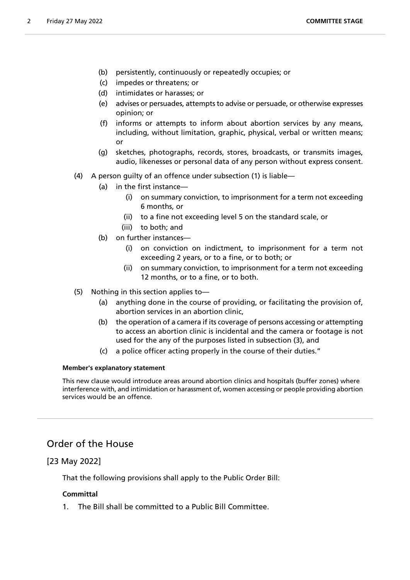- (b) persistently, continuously or repeatedly occupies; or
- (c) impedes or threatens; or
- (d) intimidates or harasses; or
- (e) advises or persuades, attempts to advise or persuade, or otherwise expresses opinion; or
- (f) informs or attempts to inform about abortion services by any means, including, without limitation, graphic, physical, verbal or written means; or
- (g) sketches, photographs, records, stores, broadcasts, or transmits images, audio, likenesses or personal data of any person without express consent.
- (4) A person guilty of an offence under subsection (1) is liable—
	- (a) in the first instance—
		- (i) on summary conviction, to imprisonment for a term not exceeding 6 months, or
		- (ii) to a fine not exceeding level 5 on the standard scale, or
		- (iii) to both; and
	- (b) on further instances—
		- (i) on conviction on indictment, to imprisonment for a term not exceeding 2 years, or to a fine, or to both; or
		- (ii) on summary conviction, to imprisonment for a term not exceeding 12 months, or to a fine, or to both.
- (5) Nothing in this section applies to—
	- (a) anything done in the course of providing, or facilitating the provision of, abortion services in an abortion clinic,
	- (b) the operation of a camera if its coverage of persons accessing or attempting to access an abortion clinic is incidental and the camera or footage is not used for the any of the purposes listed in subsection (3), and
	- (c) a police officer acting properly in the course of their duties."

### **Member's explanatory statement**

This new clause would introduce areas around abortion clinics and hospitals (buffer zones) where interference with, and intimidation or harassment of, women accessing or people providing abortion services would be an offence.

# Order of the House

# [23 May 2022]

That the following provisions shall apply to the Public Order Bill:

# **Committal**

1. The Bill shall be committed to a Public Bill Committee.